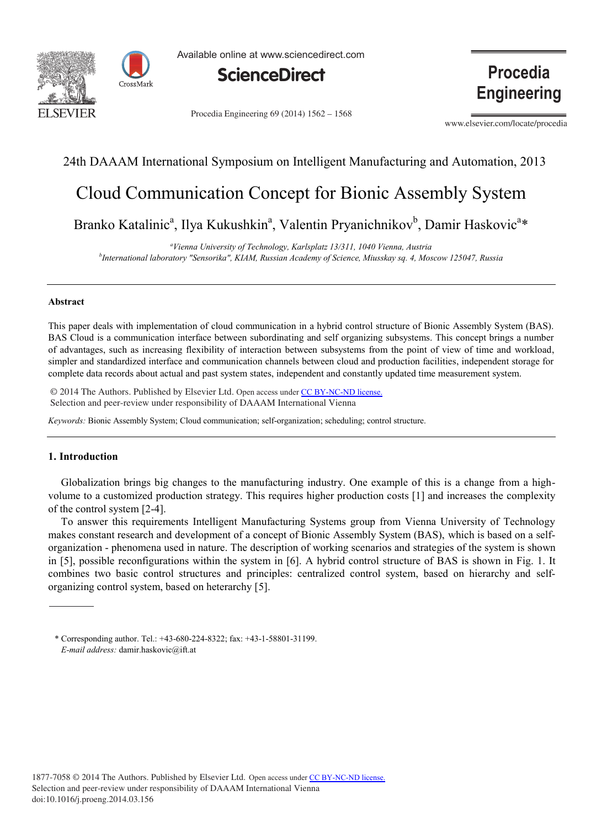



Available online at www.sciencedirect.com



Procedia Engineering 69 (2014) 1562 - 1568

**Procedia Engineering** 

www.elsevier.com/locate/procedia

# 24th DAAAM International Symposium on Intelligent Manufacturing and Automation, 2013

# Cloud Communication Concept for Bionic Assembly System

Branko Katalinic<sup>a</sup>, Ilya Kukushkin<sup>a</sup>, Valentin Pryanichnikov<sup>b</sup>, Damir Haskovic<sup>a</sup>\*

*a Vienna University of Technology, Karlsplatz 13/311, 1040 Vienna, Austria b International laboratory "Sensorika", KIAM, Russian Academy of Science, Miusskay sq. 4, Moscow 125047, Russia* 

# **Abstract**

This paper deals with implementation of cloud communication in a hybrid control structure of Bionic Assembly System (BAS). BAS Cloud is a communication interface between subordinating and self organizing subsystems. This concept brings a number of advantages, such as increasing flexibility of interaction between subsystems from the point of view of time and workload, simpler and standardized interface and communication channels between cloud and production facilities, independent storage for complete data records about actual and past system states, independent and constantly updated time measurement system.

© 2014 The Authors. Published by Elsevier Ltd. © 2014 The Authors. Published by Elsevier Ltd. Open access under [CC BY-NC-ND license.](http://creativecommons.org/licenses/by-nc-nd/3.0/) Selection and peer-review under responsibility of DAAAM International Vienna.

*Keywords:* Bionic Assembly System; Cloud communication; self-organization; scheduling; control structure.

## **1. Introduction**

Globalization brings big changes to the manufacturing industry. One example of this is a change from a highvolume to a customized production strategy. This requires higher production costs [1] and increases the complexity of the control system [2-4].

To answer this requirements Intelligent Manufacturing Systems group from Vienna University of Technology makes constant research and development of a concept of Bionic Assembly System (BAS), which is based on a selforganization - phenomena used in nature. The description of working scenarios and strategies of the system is shown in [5], possible reconfigurations within the system in [6]. A hybrid control structure of BAS is shown in Fig. 1. It combines two basic control structures and principles: centralized control system, based on hierarchy and selforganizing control system, based on heterarchy [5].

<sup>\*</sup> Corresponding author. Tel.: +43-680-224-8322; fax: +43-1-58801-31199. *E-mail address:* damir.haskovic@ift.at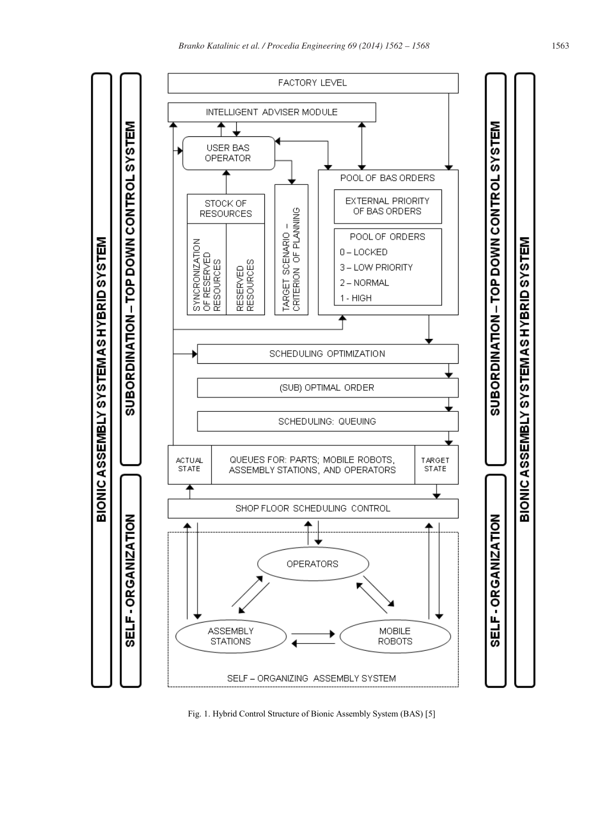

Fig. 1. Hybrid Control Structure of Bionic Assembly System (BAS) [5]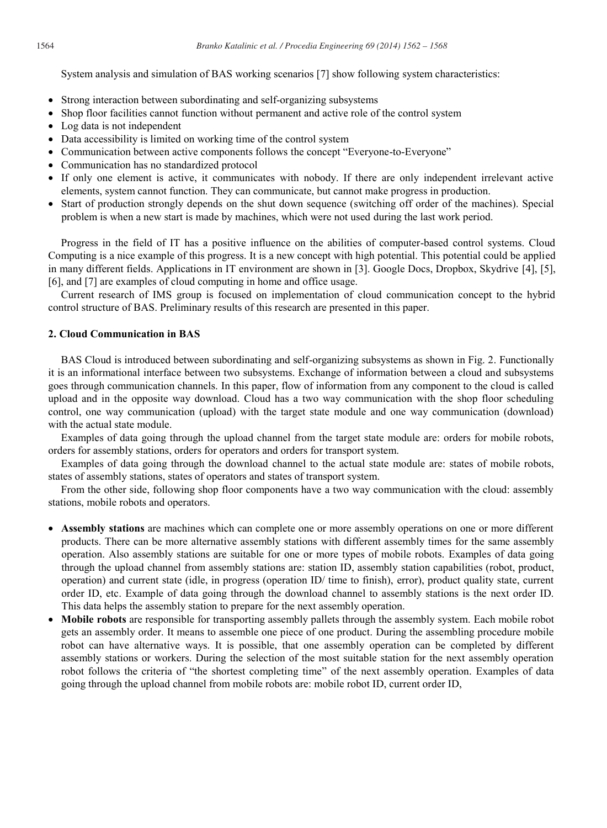System analysis and simulation of BAS working scenarios [7] show following system characteristics:

- Strong interaction between subordinating and self-organizing subsystems
- Shop floor facilities cannot function without permanent and active role of the control system
- Log data is not independent
- Data accessibility is limited on working time of the control system
- Communication between active components follows the concept "Everyone-to-Everyone"
- Communication has no standardized protocol
- x If only one element is active, it communicates with nobody. If there are only independent irrelevant active elements, system cannot function. They can communicate, but cannot make progress in production.
- Start of production strongly depends on the shut down sequence (switching off order of the machines). Special problem is when a new start is made by machines, which were not used during the last work period.

Progress in the field of IT has a positive influence on the abilities of computer-based control systems. Cloud Computing is a nice example of this progress. It is a new concept with high potential. This potential could be applied in many different fields. Applications in IT environment are shown in [3]. Google Docs, Dropbox, Skydrive [4], [5], [6], and [7] are examples of cloud computing in home and office usage.

Current research of IMS group is focused on implementation of cloud communication concept to the hybrid control structure of BAS. Preliminary results of this research are presented in this paper.

# **2. Cloud Communication in BAS**

BAS Cloud is introduced between subordinating and self-organizing subsystems as shown in Fig. 2. Functionally it is an informational interface between two subsystems. Exchange of information between a cloud and subsystems goes through communication channels. In this paper, flow of information from any component to the cloud is called upload and in the opposite way download. Cloud has a two way communication with the shop floor scheduling control, one way communication (upload) with the target state module and one way communication (download) with the actual state module.

Examples of data going through the upload channel from the target state module are: orders for mobile robots, orders for assembly stations, orders for operators and orders for transport system.

Examples of data going through the download channel to the actual state module are: states of mobile robots, states of assembly stations, states of operators and states of transport system.

From the other side, following shop floor components have a two way communication with the cloud: assembly stations, mobile robots and operators.

- x **Assembly stations** are machines which can complete one or more assembly operations on one or more different products. There can be more alternative assembly stations with different assembly times for the same assembly operation. Also assembly stations are suitable for one or more types of mobile robots. Examples of data going through the upload channel from assembly stations are: station ID, assembly station capabilities (robot, product, operation) and current state (idle, in progress (operation ID/ time to finish), error), product quality state, current order ID, etc. Example of data going through the download channel to assembly stations is the next order ID. This data helps the assembly station to prepare for the next assembly operation.
- **Mobile robots** are responsible for transporting assembly pallets through the assembly system. Each mobile robot gets an assembly order. It means to assemble one piece of one product. During the assembling procedure mobile robot can have alternative ways. It is possible, that one assembly operation can be completed by different assembly stations or workers. During the selection of the most suitable station for the next assembly operation robot follows the criteria of "the shortest completing time" of the next assembly operation. Examples of data going through the upload channel from mobile robots are: mobile robot ID, current order ID,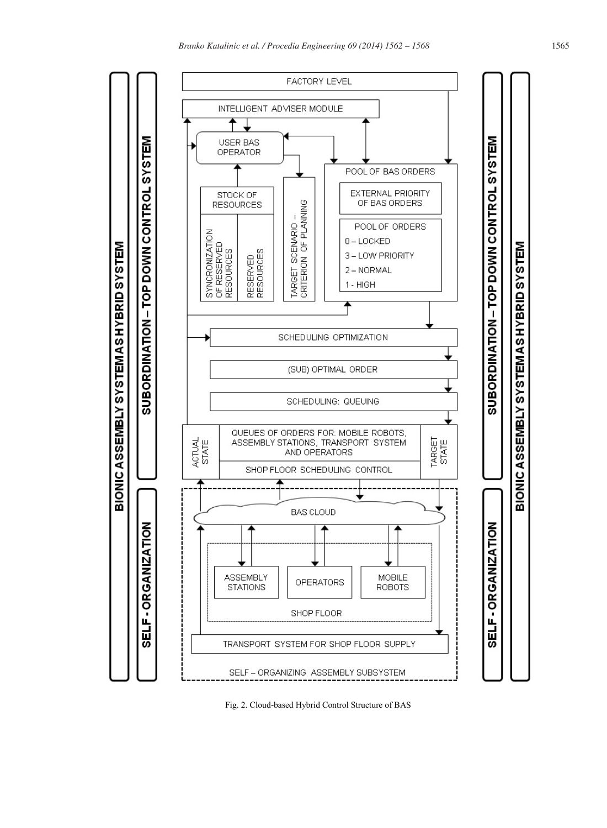

Fig. 2. Cloud-based Hybrid Control Structure of BAS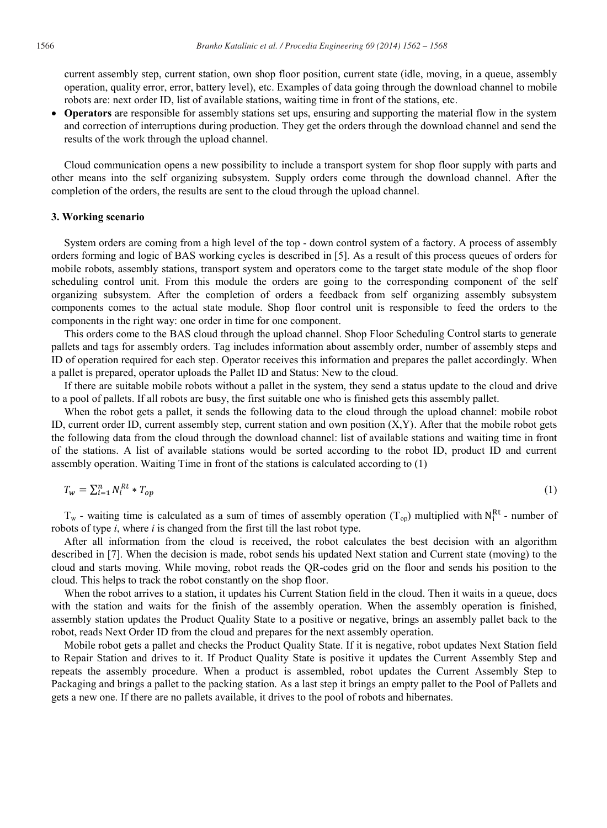current assembly step, current station, own shop floor position, current state (idle, moving, in a queue, assembly operation, quality error, error, battery level), etc. Examples of data going through the download channel to mobile robots are: next order ID, list of available stations, waiting time in front of the stations, etc.

**• Operators** are responsible for assembly stations set ups, ensuring and supporting the material flow in the system and correction of interruptions during production. They get the orders through the download channel and send the results of the work through the upload channel.

Cloud communication opens a new possibility to include a transport system for shop floor supply with parts and other means into the self organizing subsystem. Supply orders come through the download channel. After the completion of the orders, the results are sent to the cloud through the upload channel.

#### **3. Working scenario**

System orders are coming from a high level of the top - down control system of a factory. A process of assembly orders forming and logic of BAS working cycles is described in [5]. As a result of this process queues of orders for mobile robots, assembly stations, transport system and operators come to the target state module of the shop floor scheduling control unit. From this module the orders are going to the corresponding component of the self organizing subsystem. After the completion of orders a feedback from self organizing assembly subsystem components comes to the actual state module. Shop floor control unit is responsible to feed the orders to the components in the right way: one order in time for one component.

This orders come to the BAS cloud through the upload channel. Shop Floor Scheduling Control starts to generate pallets and tags for assembly orders. Tag includes information about assembly order, number of assembly steps and ID of operation required for each step. Operator receives this information and prepares the pallet accordingly. When a pallet is prepared, operator uploads the Pallet ID and Status: New to the cloud.

If there are suitable mobile robots without a pallet in the system, they send a status update to the cloud and drive to a pool of pallets. If all robots are busy, the first suitable one who is finished gets this assembly pallet.

When the robot gets a pallet, it sends the following data to the cloud through the upload channel: mobile robot ID, current order ID, current assembly step, current station and own position (X,Y). After that the mobile robot gets the following data from the cloud through the download channel: list of available stations and waiting time in front of the stations. A list of available stations would be sorted according to the robot ID, product ID and current assembly operation. Waiting Time in front of the stations is calculated according to (1)

$$
T_w = \sum_{i=1}^n N_i^{Rt} * T_{op} \tag{1}
$$

 $T_w$  - waiting time is calculated as a sum of times of assembly operation ( $T_{op}$ ) multiplied with  $N_i^{Rt}$  - number of robots of type *i*, where *i* is changed from the first till the last robot type.

After all information from the cloud is received, the robot calculates the best decision with an algorithm described in [7]. When the decision is made, robot sends his updated Next station and Current state (moving) to the cloud and starts moving. While moving, robot reads the QR-codes grid on the floor and sends his position to the cloud. This helps to track the robot constantly on the shop floor.

When the robot arrives to a station, it updates his Current Station field in the cloud. Then it waits in a queue, docs with the station and waits for the finish of the assembly operation. When the assembly operation is finished, assembly station updates the Product Quality State to a positive or negative, brings an assembly pallet back to the robot, reads Next Order ID from the cloud and prepares for the next assembly operation.

Mobile robot gets a pallet and checks the Product Quality State. If it is negative, robot updates Next Station field to Repair Station and drives to it. If Product Quality State is positive it updates the Current Assembly Step and repeats the assembly procedure. When a product is assembled, robot updates the Current Assembly Step to Packaging and brings a pallet to the packing station. As a last step it brings an empty pallet to the Pool of Pallets and gets a new one. If there are no pallets available, it drives to the pool of robots and hibernates.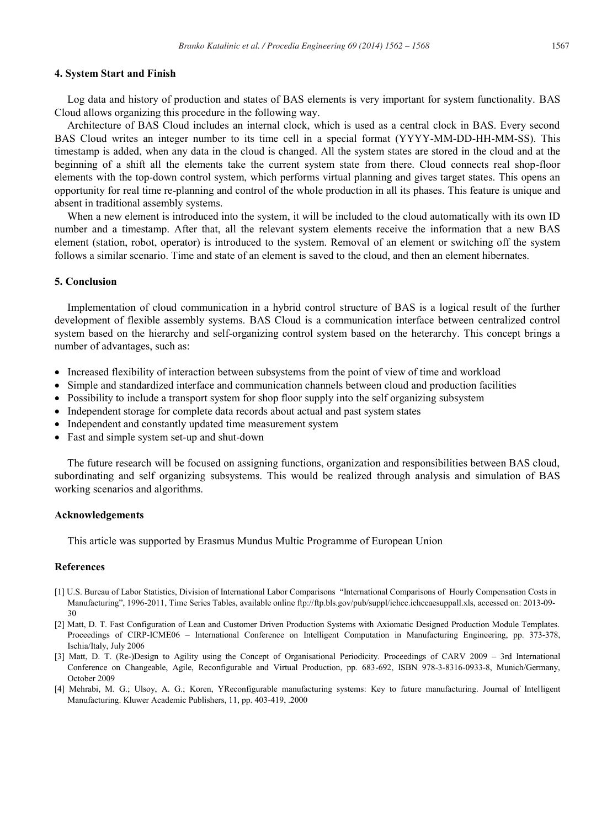#### **4. System Start and Finish**

Log data and history of production and states of BAS elements is very important for system functionality. BAS Cloud allows organizing this procedure in the following way.

Architecture of BAS Cloud includes an internal clock, which is used as a central clock in BAS. Every second BAS Cloud writes an integer number to its time cell in a special format (YYYY-MM-DD-HH-MM-SS). This timestamp is added, when any data in the cloud is changed. All the system states are stored in the cloud and at the beginning of a shift all the elements take the current system state from there. Cloud connects real shop-floor elements with the top-down control system, which performs virtual planning and gives target states. This opens an opportunity for real time re-planning and control of the whole production in all its phases. This feature is unique and absent in traditional assembly systems.

When a new element is introduced into the system, it will be included to the cloud automatically with its own ID number and a timestamp. After that, all the relevant system elements receive the information that a new BAS element (station, robot, operator) is introduced to the system. Removal of an element or switching off the system follows a similar scenario. Time and state of an element is saved to the cloud, and then an element hibernates.

# **5. Conclusion**

Implementation of cloud communication in a hybrid control structure of BAS is a logical result of the further development of flexible assembly systems. BAS Cloud is a communication interface between centralized control system based on the hierarchy and self-organizing control system based on the heterarchy. This concept brings a number of advantages, such as:

- Increased flexibility of interaction between subsystems from the point of view of time and workload
- Simple and standardized interface and communication channels between cloud and production facilities
- Possibility to include a transport system for shop floor supply into the self organizing subsystem
- Independent storage for complete data records about actual and past system states
- Independent and constantly updated time measurement system
- Fast and simple system set-up and shut-down

The future research will be focused on assigning functions, organization and responsibilities between BAS cloud, subordinating and self organizing subsystems. This would be realized through analysis and simulation of BAS working scenarios and algorithms.

#### **Acknowledgements**

This article was supported by Erasmus Mundus Multic Programme of European Union

### **References**

- [1] U.S. Bureau of Labor Statistics, Division of International Labor Comparisons "International Comparisons of Hourly Compensation Costs in Manufacturing", 1996-2011, Time Series Tables, available online ftp://ftp.bls.gov/pub/suppl/ichcc.ichccaesuppall.xls, accessed on: 2013-09- 30
- [2] Matt, D. T. Fast Configuration of Lean and Customer Driven Production Systems with Axiomatic Designed Production Module Templates. Proceedings of CIRP-ICME06 – International Conference on Intelligent Computation in Manufacturing Engineering, pp. 373-378, Ischia/Italy, July 2006
- [3] Matt, D. T. (Re-)Design to Agility using the Concept of Organisational Periodicity. Proceedings of CARV 2009 3rd International Conference on Changeable, Agile, Reconfigurable and Virtual Production, pp. 683-692, ISBN 978-3-8316-0933-8, Munich/Germany, October 2009
- [4] Mehrabi, M. G.; Ulsoy, A. G.; Koren, YReconfigurable manufacturing systems: Key to future manufacturing. Journal of Intelligent Manufacturing. Kluwer Academic Publishers, 11, pp. 403-419, .2000